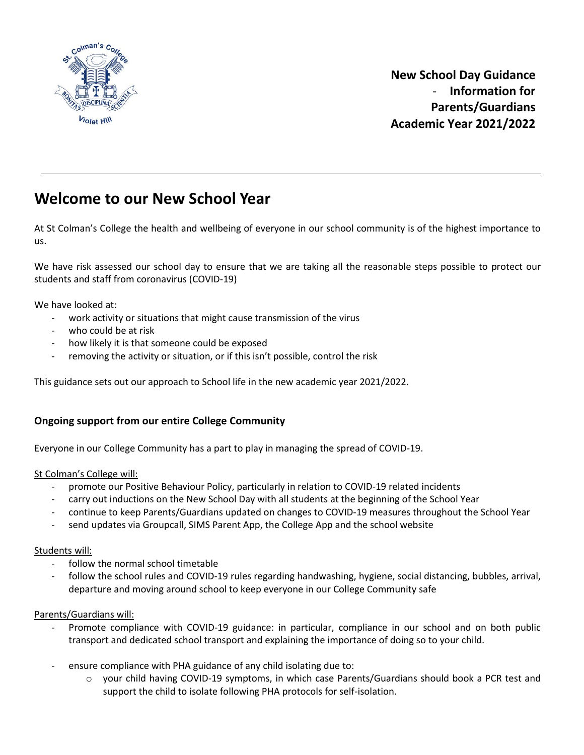

# **Welcome to our New School Year**

At St Colman's College the health and wellbeing of everyone in our school community is of the highest importance to us.

We have risk assessed our school day to ensure that we are taking all the reasonable steps possible to protect our students and staff from coronavirus (COVID-19)

We have looked at:

- work activity or situations that might cause transmission of the virus
- who could be at risk
- how likely it is that someone could be exposed
- removing the activity or situation, or if this isn't possible, control the risk

This guidance sets out our approach to School life in the new academic year 2021/2022.

### **Ongoing support from our entire College Community**

Everyone in our College Community has a part to play in managing the spread of COVID-19.

#### St Colman's College will:

- promote our Positive Behaviour Policy, particularly in relation to COVID-19 related incidents
- carry out inductions on the New School Day with all students at the beginning of the School Year
- continue to keep Parents/Guardians updated on changes to COVID-19 measures throughout the School Year
- send updates via Groupcall, SIMS Parent App, the College App and the school website

#### Students will:

- follow the normal school timetable
- follow the school rules and COVID-19 rules regarding handwashing, hygiene, social distancing, bubbles, arrival, departure and moving around school to keep everyone in our College Community safe

#### Parents/Guardians will:

- Promote compliance with COVID-19 guidance: in particular, compliance in our school and on both public transport and dedicated school transport and explaining the importance of doing so to your child.
- ensure compliance with PHA guidance of any child isolating due to:
	- o your child having COVID-19 symptoms, in which case Parents/Guardians should book a PCR test and support the child to isolate following PHA protocols for self-isolation.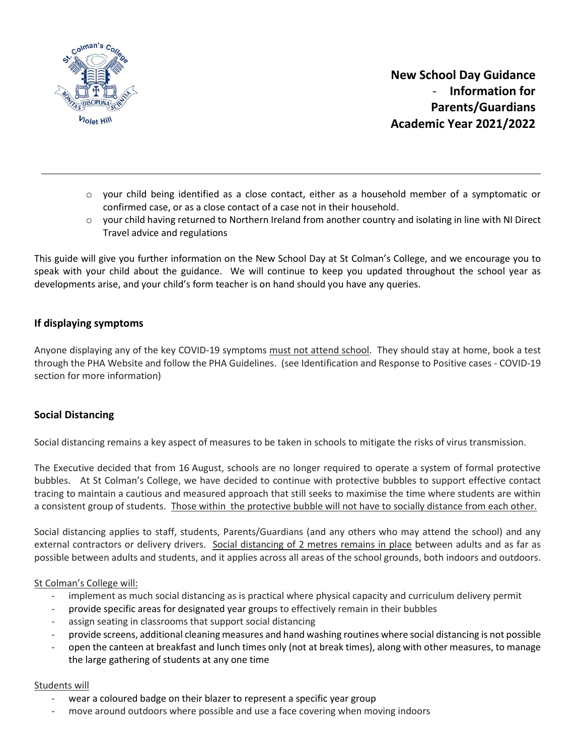

- $\circ$  your child being identified as a close contact, either as a household member of a symptomatic or confirmed case, or as a close contact of a case not in their household.
- o your child having returned to Northern Ireland from another country and isolating in line with NI Direct Travel advice and regulations

This guide will give you further information on the New School Day at St Colman's College, and we encourage you to speak with your child about the guidance. We will continue to keep you updated throughout the school year as developments arise, and your child's form teacher is on hand should you have any queries.

### **If displaying symptoms**

Anyone displaying any of the key COVID-19 symptoms must not attend school. They should stay at home, book a test through the PHA Website and follow the PHA Guidelines. (see Identification and Response to Positive cases - COVID-19 section for more information)

### **Social Distancing**

Social distancing remains a key aspect of measures to be taken in schools to mitigate the risks of virus transmission.

The Executive decided that from 16 August, schools are no longer required to operate a system of formal protective bubbles. At St Colman's College, we have decided to continue with protective bubbles to support effective contact tracing to maintain a cautious and measured approach that still seeks to maximise the time where students are within a consistent group of students. Those within the protective bubble will not have to socially distance from each other.

Social distancing applies to staff, students, Parents/Guardians (and any others who may attend the school) and any external contractors or delivery drivers. Social distancing of 2 metres remains in place between adults and as far as possible between adults and students, and it applies across all areas of the school grounds, both indoors and outdoors.

#### St Colman's College will:

- implement as much social distancing as is practical where physical capacity and curriculum delivery permit
- provide specific areas for designated year groups to effectively remain in their bubbles
- assign seating in classrooms that support social distancing
- provide screens, additional cleaning measures and hand washing routines where social distancing is not possible
- open the canteen at breakfast and lunch times only (not at break times), along with other measures, to manage the large gathering of students at any one time

#### Students will

- wear a coloured badge on their blazer to represent a specific year group
- move around outdoors where possible and use a face covering when moving indoors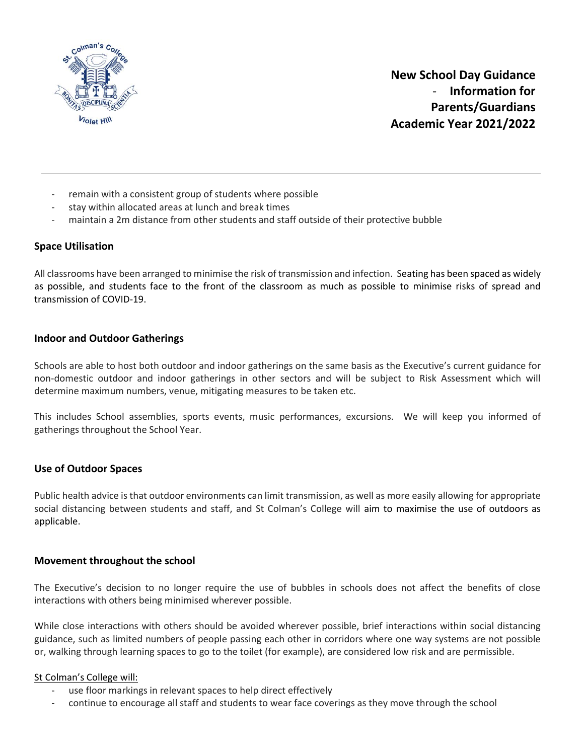

- remain with a consistent group of students where possible
- stay within allocated areas at lunch and break times
- maintain a 2m distance from other students and staff outside of their protective bubble

### **Space Utilisation**

All classrooms have been arranged to minimise the risk of transmission and infection. Seating has been spaced as widely as possible, and students face to the front of the classroom as much as possible to minimise risks of spread and transmission of COVID-19.

### **Indoor and Outdoor Gatherings**

Schools are able to host both outdoor and indoor gatherings on the same basis as the Executive's current guidance for non-domestic outdoor and indoor gatherings in other sectors and will be subject to Risk Assessment which will determine maximum numbers, venue, mitigating measures to be taken etc.

This includes School assemblies, sports events, music performances, excursions. We will keep you informed of gatherings throughout the School Year.

#### **Use of Outdoor Spaces**

Public health advice is that outdoor environments can limit transmission, as well as more easily allowing for appropriate social distancing between students and staff, and St Colman's College will aim to maximise the use of outdoors as applicable.

#### **Movement throughout the school**

The Executive's decision to no longer require the use of bubbles in schools does not affect the benefits of close interactions with others being minimised wherever possible.

While close interactions with others should be avoided wherever possible, brief interactions within social distancing guidance, such as limited numbers of people passing each other in corridors where one way systems are not possible or, walking through learning spaces to go to the toilet (for example), are considered low risk and are permissible.

#### St Colman's College will:

- use floor markings in relevant spaces to help direct effectively
- continue to encourage all staff and students to wear face coverings as they move through the school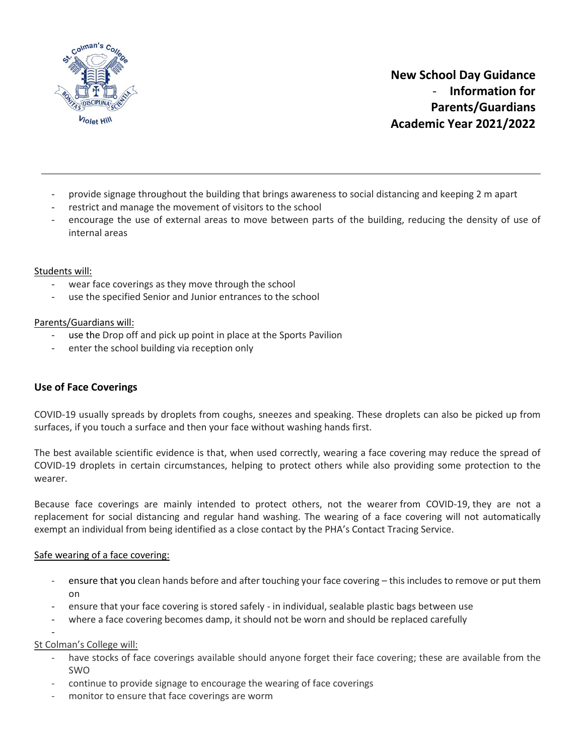

- provide signage throughout the building that brings awareness to social distancing and keeping 2 m apart
- restrict and manage the movement of visitors to the school
- encourage the use of external areas to move between parts of the building, reducing the density of use of internal areas

### Students will:

- wear face coverings as they move through the school
- use the specified Senior and Junior entrances to the school

#### Parents/Guardians will:

- use the Drop off and pick up point in place at the Sports Pavilion
- enter the school building via reception only

### **Use of Face Coverings**

COVID-19 usually spreads by droplets from coughs, sneezes and speaking. These droplets can also be picked up from surfaces, if you touch a surface and then your face without washing hands first.

The best available scientific evidence is that, when used correctly, wearing a face covering may reduce the spread of COVID-19 droplets in certain circumstances, helping to protect others while also providing some protection to the wearer.

Because face coverings are mainly intended to protect others, not the wearer from COVID-19, they are not a replacement for social distancing and regular hand washing. The wearing of a face covering will not automatically exempt an individual from being identified as a close contact by the PHA's Contact Tracing Service.

#### Safe wearing of a face covering:

- ensure that you clean hands before and after touching your face covering this includes to remove or put them on
- ensure that your face covering is stored safely in individual, sealable plastic bags between use
- where a face covering becomes damp, it should not be worn and should be replaced carefully

#### St Colman's College will:

-

- have stocks of face coverings available should anyone forget their face covering; these are available from the SWO
- continue to provide signage to encourage the wearing of face coverings
- monitor to ensure that face coverings are worm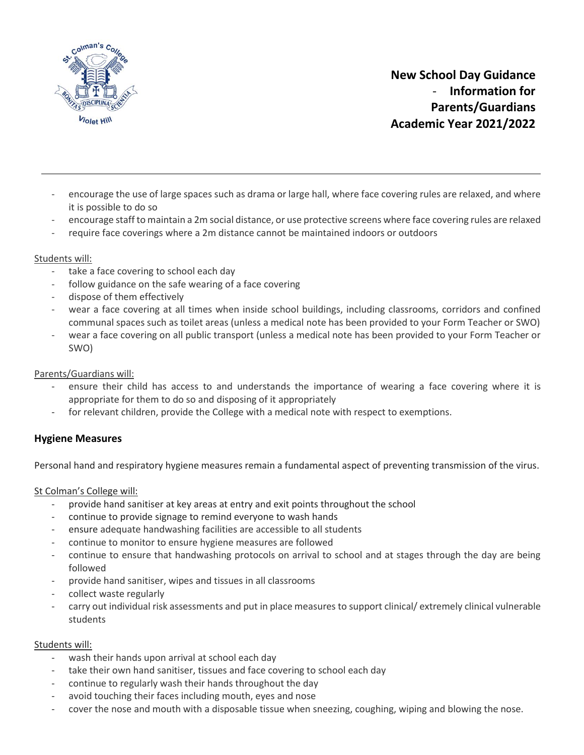

- encourage the use of large spaces such as drama or large hall, where face covering rules are relaxed, and where it is possible to do so
- encourage staff to maintain a 2m social distance, or use protective screens where face covering rules are relaxed
- require face coverings where a 2m distance cannot be maintained indoors or outdoors

### Students will:

- take a face covering to school each day
- follow guidance on the safe wearing of a face covering
- dispose of them effectively
- wear a face covering at all times when inside school buildings, including classrooms, corridors and confined communal spaces such as toilet areas (unless a medical note has been provided to your Form Teacher or SWO)
- wear a face covering on all public transport (unless a medical note has been provided to your Form Teacher or SWO)

#### Parents/Guardians will:

- ensure their child has access to and understands the importance of wearing a face covering where it is appropriate for them to do so and disposing of it appropriately
- for relevant children, provide the College with a medical note with respect to exemptions.

### **Hygiene Measures**

Personal hand and respiratory hygiene measures remain a fundamental aspect of preventing transmission of the virus.

St Colman's College will:

- provide hand sanitiser at key areas at entry and exit points throughout the school
- continue to provide signage to remind everyone to wash hands
- ensure adequate handwashing facilities are accessible to all students
- continue to monitor to ensure hygiene measures are followed
- continue to ensure that handwashing protocols on arrival to school and at stages through the day are being followed
- provide hand sanitiser, wipes and tissues in all classrooms
- collect waste regularly
- carry out individual risk assessments and put in place measures to support clinical/ extremely clinical vulnerable students

#### Students will:

- wash their hands upon arrival at school each day
- take their own hand sanitiser, tissues and face covering to school each day
- continue to regularly wash their hands throughout the day
- avoid touching their faces including mouth, eyes and nose
- cover the nose and mouth with a disposable tissue when sneezing, coughing, wiping and blowing the nose.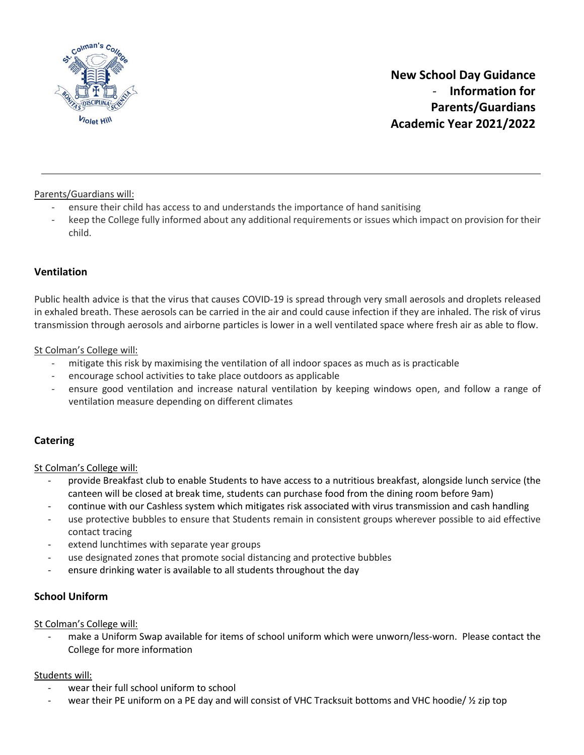

Parents/Guardians will:

- ensure their child has access to and understands the importance of hand sanitising
- keep the College fully informed about any additional requirements or issues which impact on provision for their child.

### **Ventilation**

Public health advice is that the virus that causes COVID-19 is spread through very small aerosols and droplets released in exhaled breath. These aerosols can be carried in the air and could cause infection if they are inhaled. The risk of virus transmission through aerosols and airborne particles is lower in a well ventilated space where fresh air as able to flow.

St Colman's College will:

- mitigate this risk by maximising the ventilation of all indoor spaces as much as is practicable
- encourage school activities to take place outdoors as applicable
- ensure good ventilation and increase natural ventilation by keeping windows open, and follow a range of ventilation measure depending on different climates

### **Catering**

St Colman's College will:

- provide Breakfast club to enable Students to have access to a nutritious breakfast, alongside lunch service (the canteen will be closed at break time, students can purchase food from the dining room before 9am)
- continue with our Cashless system which mitigates risk associated with virus transmission and cash handling
- use protective bubbles to ensure that Students remain in consistent groups wherever possible to aid effective contact tracing
- extend lunchtimes with separate year groups
- use designated zones that promote social distancing and protective bubbles
- ensure drinking water is available to all students throughout the day

### **School Uniform**

St Colman's College will:

make a Uniform Swap available for items of school uniform which were unworn/less-worn. Please contact the College for more information

#### Students will:

- wear their full school uniform to school
- wear their PE uniform on a PE day and will consist of VHC Tracksuit bottoms and VHC hoodie/  $\frac{1}{2}$  zip top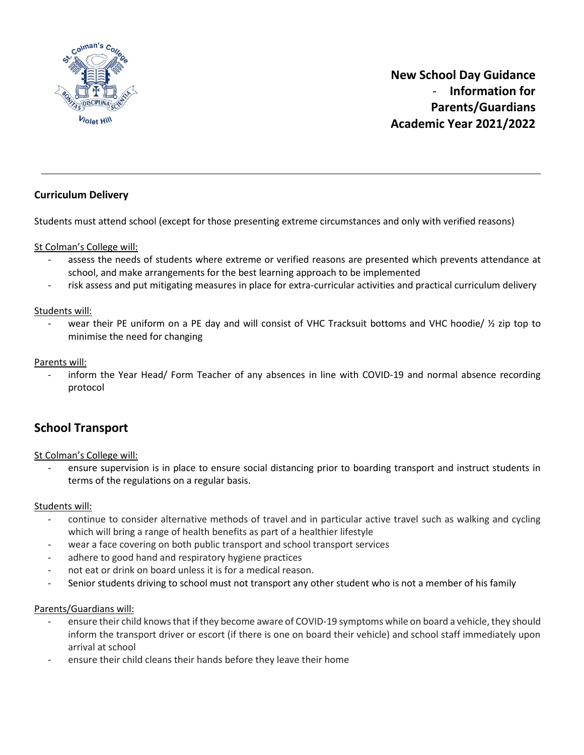

### **Curriculum Delivery**

Students must attend school (except for those presenting extreme circumstances and only with verified reasons)

St Colman's College will:

- assess the needs of students where extreme or verified reasons are presented which prevents attendance at school, and make arrangements for the best learning approach to be implemented
- risk assess and put mitigating measures in place for extra-curricular activities and practical curriculum delivery

Students will:

wear their PE uniform on a PE day and will consist of VHC Tracksuit bottoms and VHC hoodie/  $\frac{1}{2}$  zip top to minimise the need for changing

Parents will:

inform the Year Head/ Form Teacher of any absences in line with COVID-19 and normal absence recording protocol

## **School Transport**

St Colman's College will:

- ensure supervision is in place to ensure social distancing prior to boarding transport and instruct students in terms of the regulations on a regular basis.

#### Students will:

- continue to consider alternative methods of travel and in particular active travel such as walking and cycling which will bring a range of health benefits as part of a healthier lifestyle
- wear a face covering on both public transport and school transport services
- adhere to good hand and respiratory hygiene practices
- not eat or drink on board unless it is for a medical reason.
- Senior students driving to school must not transport any other student who is not a member of his family

#### Parents/Guardians will:

- ensure their child knows that if they become aware of COVID-19 symptoms while on board a vehicle, they should inform the transport driver or escort (if there is one on board their vehicle) and school staff immediately upon arrival at school
- ensure their child cleans their hands before they leave their home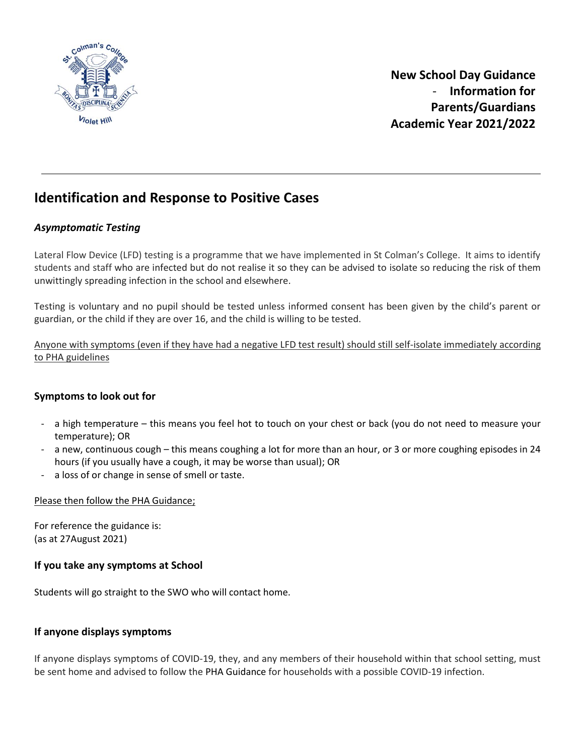

## **Identification and Response to Positive Cases**

### *Asymptomatic Testing*

Lateral Flow Device (LFD) testing is a programme that we have implemented in St Colman's College. It aims to identify students and staff who are infected but do not realise it so they can be advised to isolate so reducing the risk of them unwittingly spreading infection in the school and elsewhere.

Testing is voluntary and no pupil should be tested unless informed consent has been given by the child's parent or guardian, or the child if they are over 16, and the child is willing to be tested.

Anyone with symptoms (even if they have had a negative LFD test result) should still self-isolate immediately according to PHA guidelines

### **Symptoms to look out for**

- a high temperature this means you feel hot to touch on your chest or back (you do not need to measure your temperature); OR
- a new, continuous cough this means coughing a lot for more than an hour, or 3 or more coughing episodes in 24 hours (if you usually have a cough, it may be worse than usual); OR
- a loss of or change in sense of smell or taste.

### Please then follow the PHA Guidance;

For reference the guidance is: (as at 27August 2021)

### **If you take any symptoms at School**

Students will go straight to the SWO who will contact home.

### **If anyone displays symptoms**

If anyone displays symptoms of COVID-19, they, and any members of their household within that school setting, must be sent home and advised to follow the PHA Guidance for households with a possible COVID-19 infection.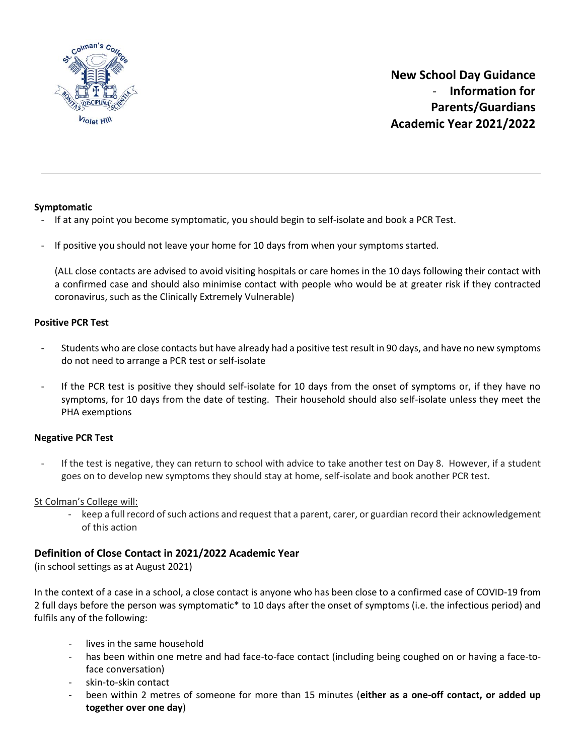

### **Symptomatic**

- If at any point you become symptomatic, you should begin to self-isolate and book a PCR Test.
- If positive you should not leave your home for 10 days from when your symptoms started.

(ALL close contacts are advised to avoid visiting hospitals or care homes in the 10 days following their contact with a confirmed case and should also minimise contact with people who would be at greater risk if they contracted coronavirus, such as the Clinically Extremely Vulnerable)

#### **Positive PCR Test**

- Students who are close contacts but have already had a positive test result in 90 days, and have no new symptoms do not need to arrange a PCR test or self-isolate
- If the PCR test is positive they should self-isolate for 10 days from the onset of symptoms or, if they have no symptoms, for 10 days from the date of testing. Their household should also self-isolate unless they meet the PHA exemptions

#### **Negative PCR Test**

If the test is negative, they can return to school with advice to take another test on Day 8. However, if a student goes on to develop new symptoms they should stay at home, self-isolate and book another PCR test.

St Colman's College will:

- keep a full record of such actions and request that a parent, carer, or guardian record their acknowledgement of this action

### **Definition of Close Contact in 2021/2022 Academic Year**

(in school settings as at August 2021)

In the context of a case in a school, a close contact is anyone who has been close to a confirmed case of COVID-19 from 2 full days before the person was symptomatic\* to 10 days after the onset of symptoms (i.e. the infectious period) and fulfils any of the following:

- lives in the same household
- has been within one metre and had face-to-face contact (including being coughed on or having a face-toface conversation)
- skin-to-skin contact
- been within 2 metres of someone for more than 15 minutes (**either as a one-off contact, or added up together over one day**)